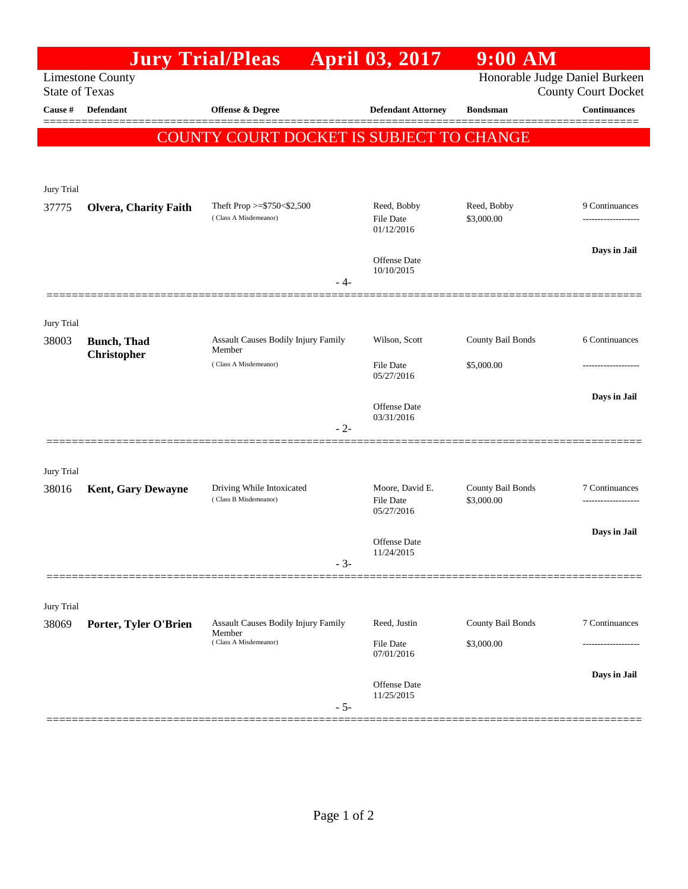|                                                                                                                  |                                    | <b>Jury Trial/Pleas</b>                              | <b>April 03, 2017</b>             | 9:00 AM           |                     |  |  |  |
|------------------------------------------------------------------------------------------------------------------|------------------------------------|------------------------------------------------------|-----------------------------------|-------------------|---------------------|--|--|--|
| Honorable Judge Daniel Burkeen<br><b>Limestone County</b><br><b>State of Texas</b><br><b>County Court Docket</b> |                                    |                                                      |                                   |                   |                     |  |  |  |
| Cause #                                                                                                          | <b>Defendant</b>                   | <b>Offense &amp; Degree</b>                          | <b>Defendant Attorney</b>         | <b>Bondsman</b>   | <b>Continuances</b> |  |  |  |
|                                                                                                                  |                                    | COUNTY COURT DOCKET IS SUBJECT TO CHANGE             |                                   |                   | ======              |  |  |  |
|                                                                                                                  |                                    |                                                      |                                   |                   |                     |  |  |  |
|                                                                                                                  |                                    |                                                      |                                   |                   |                     |  |  |  |
| Jury Trial<br>37775                                                                                              | <b>Olvera, Charity Faith</b>       | Theft Prop >=\$750<\$2,500                           | Reed, Bobby                       | Reed, Bobby       | 9 Continuances      |  |  |  |
|                                                                                                                  |                                    | (Class A Misdemeanor)                                | <b>File Date</b><br>01/12/2016    | \$3,000.00        |                     |  |  |  |
|                                                                                                                  |                                    |                                                      | Offense Date                      |                   | Days in Jail        |  |  |  |
|                                                                                                                  |                                    | - 4-                                                 | 10/10/2015                        |                   |                     |  |  |  |
|                                                                                                                  |                                    |                                                      |                                   |                   |                     |  |  |  |
| Jury Trial                                                                                                       |                                    |                                                      |                                   |                   |                     |  |  |  |
| 38003                                                                                                            | <b>Bunch</b> , Thad<br>Christopher | <b>Assault Causes Bodily Injury Family</b><br>Member | Wilson, Scott                     | County Bail Bonds | 6 Continuances      |  |  |  |
|                                                                                                                  |                                    | (Class A Misdemeanor)                                | <b>File Date</b><br>05/27/2016    | \$5,000.00        |                     |  |  |  |
|                                                                                                                  |                                    |                                                      |                                   |                   | Days in Jail        |  |  |  |
|                                                                                                                  |                                    |                                                      | <b>Offense</b> Date<br>03/31/2016 |                   |                     |  |  |  |
|                                                                                                                  |                                    | $-2-$                                                |                                   |                   |                     |  |  |  |
| Jury Trial                                                                                                       |                                    |                                                      |                                   |                   |                     |  |  |  |
| 38016                                                                                                            | <b>Kent, Gary Dewayne</b>          | Driving While Intoxicated                            | Moore, David E.                   | County Bail Bonds | 7 Continuances      |  |  |  |
|                                                                                                                  |                                    | (Class B Misdemeanor)                                | <b>File Date</b><br>05/27/2016    | \$3,000.00        |                     |  |  |  |
|                                                                                                                  |                                    |                                                      | <b>Offense</b> Date               |                   | Days in Jail        |  |  |  |
|                                                                                                                  |                                    | $-3-$                                                | 11/24/2015                        |                   |                     |  |  |  |
|                                                                                                                  |                                    |                                                      |                                   |                   |                     |  |  |  |
| Jury Trial                                                                                                       |                                    |                                                      |                                   |                   |                     |  |  |  |
| 38069                                                                                                            | Porter, Tyler O'Brien              | <b>Assault Causes Bodily Injury Family</b><br>Member | Reed, Justin                      | County Bail Bonds | 7 Continuances      |  |  |  |
|                                                                                                                  |                                    | (Class A Misdemeanor)                                | <b>File Date</b><br>07/01/2016    | \$3,000.00        |                     |  |  |  |
|                                                                                                                  |                                    |                                                      | Offense Date                      |                   | Days in Jail        |  |  |  |
|                                                                                                                  |                                    | $-5-$                                                | 11/25/2015                        |                   |                     |  |  |  |
|                                                                                                                  |                                    |                                                      |                                   |                   |                     |  |  |  |